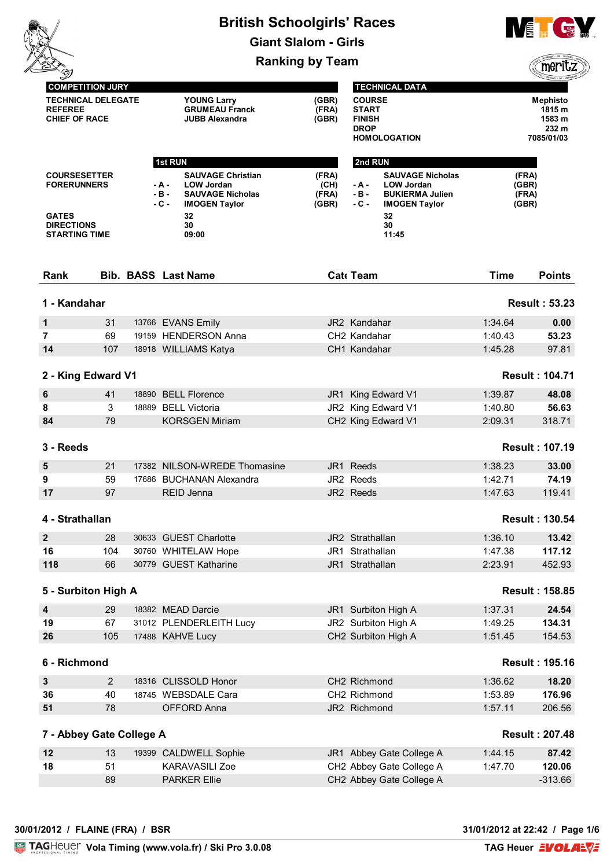# **British Schoolgirls' Races Giant Slalom - Girls**



|                                                                                                        |     |                                                                                                                                                               | <b>Ranking by Team</b>          |                                                                                                                                                             |                                  |                                                            |
|--------------------------------------------------------------------------------------------------------|-----|---------------------------------------------------------------------------------------------------------------------------------------------------------------|---------------------------------|-------------------------------------------------------------------------------------------------------------------------------------------------------------|----------------------------------|------------------------------------------------------------|
| <b>COMPETITION JURY</b><br><b>TECHNICAL DELEGATE</b><br><b>REFEREE</b><br><b>CHIEF OF RACE</b>         |     | <b>YOUNG Larry</b><br><b>GRUMEAU Franck</b><br><b>JUBB Alexandra</b>                                                                                          | (GBR)<br>(FRA)<br>(GBR)         | <b>TECHNICAL DATA</b><br><b>COURSE</b><br><b>START</b><br><b>FINISH</b><br><b>DROP</b><br><b>HOMOLOGATION</b>                                               |                                  | <b>Mephisto</b><br>1815 m<br>1583 m<br>232 m<br>7085/01/03 |
| <b>COURSESETTER</b><br><b>FORERUNNERS</b><br><b>GATES</b><br><b>DIRECTIONS</b><br><b>STARTING TIME</b> |     | 1st RUN<br><b>SAUVAGE Christian</b><br><b>LOW Jordan</b><br>- A -<br>$-B -$<br><b>SAUVAGE Nicholas</b><br>$-C -$<br><b>IMOGEN Taylor</b><br>32<br>30<br>09:00 | (FRA)<br>(CH)<br>(FRA)<br>(GBR) | 2nd RUN<br><b>SAUVAGE Nicholas</b><br><b>LOW Jordan</b><br>- A -<br>$-B -$<br><b>BUKIERMA Julien</b><br>$-C -$<br><b>IMOGEN Taylor</b><br>32<br>30<br>11:45 | (FRA)<br>(GBR)<br>(FRA)<br>(GBR) |                                                            |
| Rank                                                                                                   |     | <b>Bib. BASS Last Name</b>                                                                                                                                    |                                 | Cat Team                                                                                                                                                    | <b>Time</b>                      | <b>Points</b>                                              |
| 1 - Kandahar                                                                                           |     |                                                                                                                                                               |                                 |                                                                                                                                                             |                                  | <b>Result: 53.23</b>                                       |
| 1                                                                                                      | 31  | 13766 EVANS Emily                                                                                                                                             |                                 | JR2 Kandahar                                                                                                                                                | 1:34.64                          | 0.00                                                       |
| $\overline{7}$                                                                                         | 69  | 19159 HENDERSON Anna                                                                                                                                          |                                 | CH <sub>2</sub> Kandahar                                                                                                                                    | 1:40.43                          | 53.23                                                      |
| 14                                                                                                     | 107 | 18918 WILLIAMS Katya                                                                                                                                          |                                 | CH1 Kandahar                                                                                                                                                | 1:45.28                          | 97.81                                                      |
| 2 - King Edward V1                                                                                     |     |                                                                                                                                                               |                                 |                                                                                                                                                             |                                  | <b>Result: 104.71</b>                                      |
| 6                                                                                                      | 41  | 18890 BELL Florence                                                                                                                                           | JR1 I                           | King Edward V1                                                                                                                                              | 1:39.87                          | 48.08                                                      |
| 8                                                                                                      | 3   | 18889 BELL Victoria                                                                                                                                           |                                 | JR2 King Edward V1                                                                                                                                          | 1:40.80                          | 56.63                                                      |
| 84                                                                                                     | 79  | <b>KORSGEN Miriam</b>                                                                                                                                         |                                 | CH2 King Edward V1                                                                                                                                          | 2:09.31                          | 318.71                                                     |
| 3 - Reeds                                                                                              |     |                                                                                                                                                               |                                 |                                                                                                                                                             |                                  | <b>Result: 107.19</b>                                      |
| 5                                                                                                      | 21  | 17382 NILSON-WREDE Thomasine                                                                                                                                  |                                 | JR1 Reeds                                                                                                                                                   | 1:38.23                          | 33.00                                                      |
| 9                                                                                                      | 59  | 17686 BUCHANAN Alexandra                                                                                                                                      |                                 | JR2 Reeds                                                                                                                                                   | 1:42.71                          | 74.19                                                      |
| 17                                                                                                     | 97  | REID Jenna                                                                                                                                                    |                                 | JR2 Reeds                                                                                                                                                   | 1:47.63                          | 119.41                                                     |
| 4 - Strathallan                                                                                        |     |                                                                                                                                                               |                                 |                                                                                                                                                             |                                  | <b>Result: 130.54</b>                                      |
| $\mathbf{2}$                                                                                           | 28  | 30633 GUEST Charlotte                                                                                                                                         |                                 | JR2 Strathallan                                                                                                                                             | 1:36.10                          | 13.42                                                      |
| 16                                                                                                     | 104 | 30760 WHITELAW Hope                                                                                                                                           |                                 | JR1 Strathallan                                                                                                                                             | 1:47.38                          | 117.12                                                     |
| 118                                                                                                    | 66  | 30779 GUEST Katharine                                                                                                                                         |                                 | JR1 Strathallan                                                                                                                                             | 2:23.91                          | 452.93                                                     |
| 5 - Surbiton High A                                                                                    |     |                                                                                                                                                               |                                 |                                                                                                                                                             |                                  | <b>Result: 158.85</b>                                      |
| $\overline{\mathbf{4}}$                                                                                | 29  | 18382 MEAD Darcie                                                                                                                                             |                                 | JR1 Surbiton High A                                                                                                                                         | 1:37.31                          | 24.54                                                      |
| 19                                                                                                     | 67  | 31012 PLENDERLEITH Lucy                                                                                                                                       |                                 | JR2 Surbiton High A                                                                                                                                         | 1:49.25                          | 134.31                                                     |
| 26                                                                                                     | 105 | 17488 KAHVE Lucy                                                                                                                                              |                                 | CH2 Surbiton High A                                                                                                                                         | 1:51.45                          | 154.53                                                     |
| 6 - Richmond                                                                                           |     |                                                                                                                                                               |                                 |                                                                                                                                                             |                                  | <b>Result: 195.16</b>                                      |
| $\mathbf{3}$                                                                                           | 2   | 18316 CLISSOLD Honor                                                                                                                                          |                                 | CH2 Richmond                                                                                                                                                | 1:36.62                          | 18.20                                                      |
| 36                                                                                                     | 40  | 18745 WEBSDALE Cara                                                                                                                                           |                                 | CH2 Richmond                                                                                                                                                | 1:53.89                          | 176.96                                                     |
| 51                                                                                                     | 78  | OFFORD Anna                                                                                                                                                   |                                 | JR2 Richmond                                                                                                                                                | 1:57.11                          | 206.56                                                     |
| 7 - Abbey Gate College A                                                                               |     |                                                                                                                                                               |                                 |                                                                                                                                                             |                                  | <b>Result: 207.48</b>                                      |
| 12                                                                                                     | 13  | 19399 CALDWELL Sophie                                                                                                                                         |                                 | JR1 Abbey Gate College A                                                                                                                                    | 1:44.15                          | 87.42                                                      |
| 18                                                                                                     | 51  | <b>KARAVASILI Zoe</b>                                                                                                                                         |                                 | CH2 Abbey Gate College A                                                                                                                                    | 1:47.70                          | 120.06                                                     |
|                                                                                                        | 89  | <b>PARKER Ellie</b>                                                                                                                                           |                                 | CH2 Abbey Gate College A                                                                                                                                    |                                  | $-313.66$                                                  |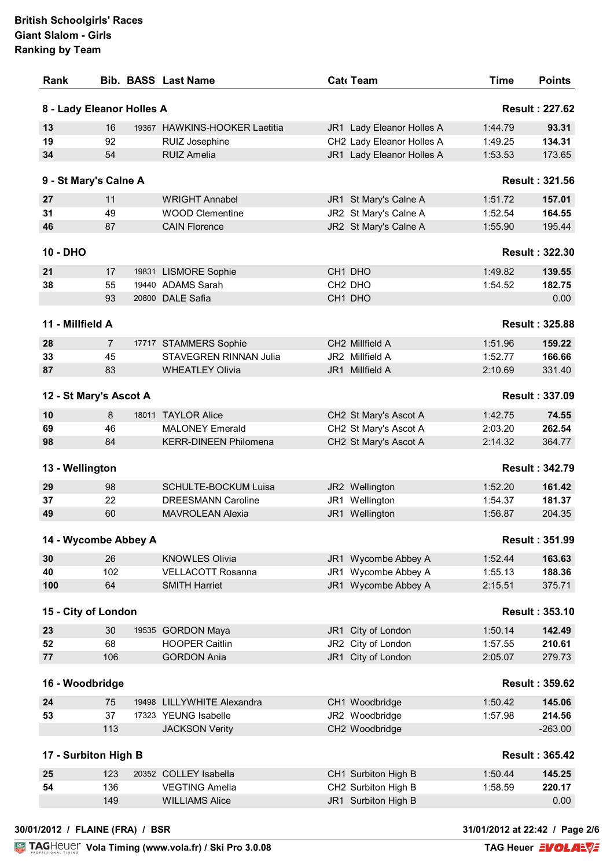| 8 - Lady Eleanor Holles A |                |                                                        |                                                |                    | <b>Result: 227.62</b> |
|---------------------------|----------------|--------------------------------------------------------|------------------------------------------------|--------------------|-----------------------|
| 13                        | 16             | 19367 HAWKINS-HOOKER Laetitia                          | JR1 Lady Eleanor Holles A                      | 1:44.79            | 93.31                 |
| 19                        | 92             | RUIZ Josephine                                         | CH2 Lady Eleanor Holles A                      | 1:49.25            | 134.31                |
| 34                        | 54             | <b>RUIZ Amelia</b>                                     | JR1 Lady Eleanor Holles A                      | 1:53.53            | 173.65                |
| 9 - St Mary's Calne A     |                |                                                        |                                                |                    | <b>Result: 321.56</b> |
| 27                        | 11             | <b>WRIGHT Annabel</b>                                  | JR1 St Mary's Calne A                          | 1:51.72            | 157.01                |
| 31                        | 49             | <b>WOOD Clementine</b>                                 | JR2 St Mary's Calne A                          | 1:52.54            | 164.55                |
| 46                        | 87             | <b>CAIN Florence</b>                                   | JR2 St Mary's Calne A                          | 1:55.90            | 195.44                |
| 10 - DHO                  |                |                                                        |                                                |                    | <b>Result: 322.30</b> |
| 21                        | 17             | 19831 LISMORE Sophie                                   | CH1 DHO                                        | 1:49.82            | 139.55                |
| 38                        | 55             | 19440 ADAMS Sarah                                      | CH <sub>2</sub> DHO                            | 1:54.52            | 182.75                |
|                           | 93             | 20800 DALE Safia                                       | CH1 DHO                                        |                    | 0.00                  |
| 11 - Millfield A          |                |                                                        |                                                |                    | <b>Result: 325.88</b> |
| 28                        | $\overline{7}$ | 17717 STAMMERS Sophie                                  | CH2 Millfield A                                | 1:51.96            | 159.22                |
| 33                        | 45             | <b>STAVEGREN RINNAN Julia</b>                          | JR2 Millfield A                                | 1:52.77            | 166.66                |
| 87                        | 83             | <b>WHEATLEY Olivia</b>                                 | JR1 Millfield A                                | 2:10.69            | 331.40                |
| 12 - St Mary's Ascot A    |                |                                                        |                                                |                    | <b>Result: 337.09</b> |
|                           |                |                                                        |                                                |                    |                       |
| 10                        | 8              | 18011 TAYLOR Alice                                     | CH2 St Mary's Ascot A                          | 1:42.75            | 74.55                 |
| 69<br>98                  | 46<br>84       | <b>MALONEY Emerald</b><br><b>KERR-DINEEN Philomena</b> | CH2 St Mary's Ascot A<br>CH2 St Mary's Ascot A | 2:03.20<br>2:14.32 | 262.54<br>364.77      |
| 13 - Wellington           |                |                                                        |                                                |                    | <b>Result: 342.79</b> |
| 29                        | 98             | <b>SCHULTE-BOCKUM Luisa</b>                            | JR2 Wellington                                 | 1:52.20            | 161.42                |
| 37                        | 22             | <b>DREESMANN Caroline</b>                              | JR1 Wellington                                 | 1:54.37            | 181.37                |
| 49                        | 60             | <b>MAVROLEAN Alexia</b>                                | JR1 Wellington                                 | 1:56.87            | 204.35                |
| 14 - Wycombe Abbey A      |                |                                                        |                                                |                    | <b>Result: 351.99</b> |
| 30                        | 26             | <b>KNOWLES Olivia</b>                                  | JR1 Wycombe Abbey A                            | 1:52.44            | 163.63                |
| 40                        | 102            | <b>VELLACOTT Rosanna</b>                               | JR1 Wycombe Abbey A                            | 1:55.13            | 188.36                |
| 100                       | 64             | <b>SMITH Harriet</b>                                   | JR1 Wycombe Abbey A                            | 2:15.51            | 375.71                |
| 15 - City of London       |                |                                                        |                                                |                    | <b>Result: 353.10</b> |
| 23                        | 30             | 19535 GORDON Maya                                      | JR1 City of London                             | 1:50.14            | 142.49                |
| 52                        | 68             | <b>HOOPER Caitlin</b>                                  | JR2 City of London                             | 1:57.55            | 210.61                |
| 77                        | 106            | <b>GORDON Ania</b>                                     | JR1 City of London                             | 2:05.07            | 279.73                |
| 16 - Woodbridge           |                |                                                        |                                                |                    | <b>Result: 359.62</b> |
| 24                        | 75             | 19498 LILLYWHITE Alexandra                             | CH1 Woodbridge                                 | 1:50.42            | 145.06                |
| 53                        | 37             | 17323 YEUNG Isabelle                                   | JR2 Woodbridge                                 | 1:57.98            | 214.56                |
|                           | 113            | <b>JACKSON Verity</b>                                  | CH2 Woodbridge                                 |                    | $-263.00$             |
| 17 - Surbiton High B      |                |                                                        |                                                |                    | <b>Result: 365.42</b> |
| 25                        | 123            | 20352 COLLEY Isabella                                  | CH1 Surbiton High B                            | 1:50.44            | 145.25                |
|                           | 136            | <b>VEGTING Amelia</b>                                  | CH2 Surbiton High B                            | 1:58.59            | 220.17                |
|                           |                |                                                        |                                                |                    |                       |
| 54                        | 149            | <b>WILLIAMS Alice</b>                                  | JR1 Surbiton High B                            |                    | 0.00                  |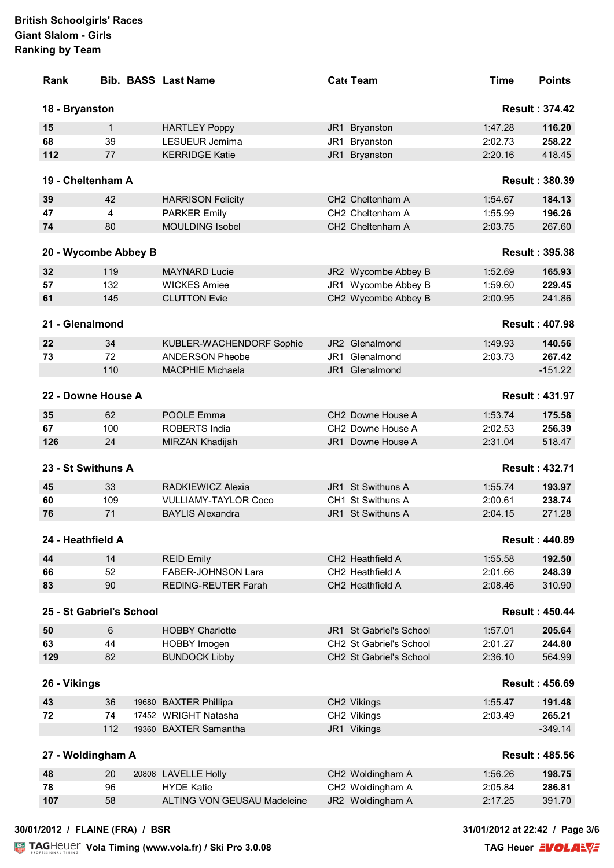|                                                                                                             |                          | <b>Bib. BASS Last Name</b>                    |     | Cat Team                                                       | <b>Time</b>        | <b>Points</b>                                                                                                                                                                                                                                                                      |
|-------------------------------------------------------------------------------------------------------------|--------------------------|-----------------------------------------------|-----|----------------------------------------------------------------|--------------------|------------------------------------------------------------------------------------------------------------------------------------------------------------------------------------------------------------------------------------------------------------------------------------|
| 18 - Bryanston                                                                                              |                          |                                               |     |                                                                |                    | <b>Result: 374.42</b>                                                                                                                                                                                                                                                              |
| 15                                                                                                          | $\mathbf{1}$             | <b>HARTLEY Poppy</b>                          |     | JR1 Bryanston                                                  | 1:47.28            | 116.20                                                                                                                                                                                                                                                                             |
| 68                                                                                                          | 39                       | LESUEUR Jemima                                | JR1 | Bryanston                                                      | 2:02.73            | 258.22                                                                                                                                                                                                                                                                             |
| 112                                                                                                         | 77                       | <b>KERRIDGE Katie</b>                         |     | JR1 Bryanston                                                  | 2:20.16            | 418.45                                                                                                                                                                                                                                                                             |
|                                                                                                             | 19 - Cheltenham A        |                                               |     |                                                                |                    | <b>Result: 380.39</b>                                                                                                                                                                                                                                                              |
| 39                                                                                                          | 42                       | <b>HARRISON Felicity</b>                      |     | CH2 Cheltenham A                                               | 1:54.67            | 184.13                                                                                                                                                                                                                                                                             |
| 47                                                                                                          | 4                        | <b>PARKER Emily</b>                           |     | CH2 Cheltenham A                                               | 1:55.99            | 196.26                                                                                                                                                                                                                                                                             |
| 74                                                                                                          | 80                       | <b>MOULDING Isobel</b>                        |     | CH2 Cheltenham A                                               | 2:03.75            | 267.60                                                                                                                                                                                                                                                                             |
|                                                                                                             | 20 - Wycombe Abbey B     |                                               |     |                                                                |                    | <b>Result: 395.38</b>                                                                                                                                                                                                                                                              |
| 32                                                                                                          | 119                      | <b>MAYNARD Lucie</b>                          |     | JR2 Wycombe Abbey B                                            | 1:52.69            | 165.93                                                                                                                                                                                                                                                                             |
| 57                                                                                                          | 132                      | <b>WICKES Amiee</b>                           |     | JR1 Wycombe Abbey B                                            | 1:59.60            | 229.45                                                                                                                                                                                                                                                                             |
| 61                                                                                                          | 145                      | <b>CLUTTON Evie</b>                           |     | CH2 Wycombe Abbey B                                            | 2:00.95            | 241.86                                                                                                                                                                                                                                                                             |
| 21 - Glenalmond                                                                                             |                          |                                               |     |                                                                |                    | <b>Result: 407.98</b>                                                                                                                                                                                                                                                              |
| 22                                                                                                          | 34                       | KUBLER-WACHENDORF Sophie                      |     | JR2 Glenalmond                                                 | 1:49.93            | 140.56                                                                                                                                                                                                                                                                             |
| 73                                                                                                          | 72                       | <b>ANDERSON Pheobe</b>                        |     | JR1 Glenalmond                                                 | 2:03.73            | 267.42                                                                                                                                                                                                                                                                             |
|                                                                                                             | 110                      | <b>MACPHIE Michaela</b>                       |     | JR1 Glenalmond                                                 |                    | $-151.22$                                                                                                                                                                                                                                                                          |
|                                                                                                             | 22 - Downe House A       |                                               |     |                                                                |                    |                                                                                                                                                                                                                                                                                    |
|                                                                                                             |                          |                                               |     |                                                                |                    | <b>Result: 431.97</b>                                                                                                                                                                                                                                                              |
| 35                                                                                                          | 62                       | POOLE Emma                                    |     | CH2 Downe House A                                              | 1:53.74            | 175.58                                                                                                                                                                                                                                                                             |
| 67                                                                                                          | 100                      | <b>ROBERTS India</b>                          |     | CH2 Downe House A                                              | 2:02.53            | 256.39                                                                                                                                                                                                                                                                             |
|                                                                                                             |                          |                                               |     | JR1 Downe House A                                              | 2:31.04            |                                                                                                                                                                                                                                                                                    |
|                                                                                                             | 24                       | MIRZAN Khadijah                               |     |                                                                |                    |                                                                                                                                                                                                                                                                                    |
|                                                                                                             | 23 - St Swithuns A       |                                               |     |                                                                |                    |                                                                                                                                                                                                                                                                                    |
|                                                                                                             | 33                       | RADKIEWICZ Alexia                             |     | JR1 St Swithuns A                                              | 1:55.74            |                                                                                                                                                                                                                                                                                    |
|                                                                                                             | 109                      | <b>VULLIAMY-TAYLOR Coco</b>                   |     | CH1 St Swithuns A                                              | 2:00.61            |                                                                                                                                                                                                                                                                                    |
|                                                                                                             | 71                       | <b>BAYLIS Alexandra</b>                       |     | JR1 St Swithuns A                                              | 2:04.15            |                                                                                                                                                                                                                                                                                    |
|                                                                                                             |                          |                                               |     |                                                                |                    |                                                                                                                                                                                                                                                                                    |
|                                                                                                             | 14                       |                                               |     | CH2 Heathfield A                                               | 1:55.58            |                                                                                                                                                                                                                                                                                    |
|                                                                                                             | 52                       | <b>REID Emily</b><br>FABER-JOHNSON Lara       |     | CH2 Heathfield A                                               | 2:01.66            |                                                                                                                                                                                                                                                                                    |
|                                                                                                             | 90                       | <b>REDING-REUTER Farah</b>                    |     | CH2 Heathfield A                                               | 2:08.46            |                                                                                                                                                                                                                                                                                    |
|                                                                                                             | 25 - St Gabriel's School |                                               |     |                                                                |                    |                                                                                                                                                                                                                                                                                    |
|                                                                                                             |                          |                                               |     |                                                                |                    |                                                                                                                                                                                                                                                                                    |
|                                                                                                             | 6                        | <b>HOBBY Charlotte</b>                        |     | JR1 St Gabriel's School                                        | 1:57.01            |                                                                                                                                                                                                                                                                                    |
|                                                                                                             | 44<br>82                 | HOBBY Imogen<br><b>BUNDOCK Libby</b>          |     | CH <sub>2</sub> St Gabriel's School<br>CH2 St Gabriel's School | 2:01.27<br>2:36.10 |                                                                                                                                                                                                                                                                                    |
|                                                                                                             |                          |                                               |     |                                                                |                    |                                                                                                                                                                                                                                                                                    |
|                                                                                                             |                          |                                               |     |                                                                |                    |                                                                                                                                                                                                                                                                                    |
|                                                                                                             | 36                       | 19680 BAXTER Phillipa                         |     | CH2 Vikings                                                    | 1:55.47            |                                                                                                                                                                                                                                                                                    |
|                                                                                                             | 74<br>112                | 17452 WRIGHT Natasha<br>19360 BAXTER Samantha |     | CH2 Vikings<br>JR1 Vikings                                     | 2:03.49            |                                                                                                                                                                                                                                                                                    |
| 126<br>45<br>60<br>76<br>24 - Heathfield A<br>44<br>66<br>83<br>50<br>63<br>129<br>26 - Vikings<br>43<br>72 | 27 - Woldingham A        |                                               |     |                                                                |                    |                                                                                                                                                                                                                                                                                    |
|                                                                                                             |                          |                                               |     |                                                                |                    |                                                                                                                                                                                                                                                                                    |
| 48<br>78                                                                                                    | 20<br>96                 | 20808 LAVELLE Holly<br><b>HYDE Katie</b>      |     | CH2 Woldingham A<br>CH2 Woldingham A                           | 1:56.26<br>2:05.84 | 518.47<br><b>Result: 432.71</b><br>193.97<br>238.74<br>271.28<br><b>Result: 440.89</b><br>192.50<br>248.39<br>310.90<br><b>Result: 450.44</b><br>205.64<br>244.80<br>564.99<br><b>Result: 456.69</b><br>191.48<br>265.21<br>$-349.14$<br><b>Result: 485.56</b><br>198.75<br>286.81 |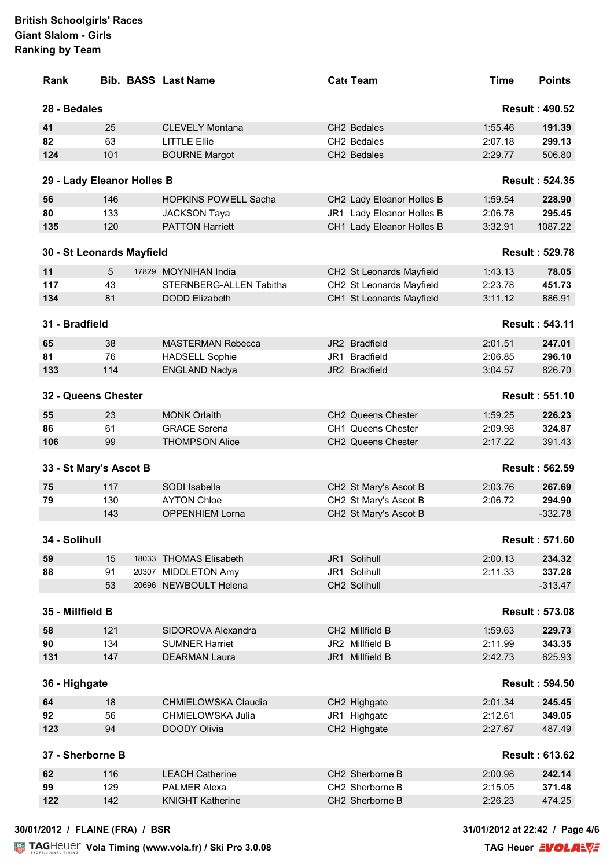| Rank                       |     | <b>Bib. BASS Last Name</b>     | Cat Team                       | <b>Time</b> | <b>Points</b>         |
|----------------------------|-----|--------------------------------|--------------------------------|-------------|-----------------------|
| 28 - Bedales               |     |                                |                                |             | <b>Result: 490.52</b> |
| 41                         | 25  | <b>CLEVELY Montana</b>         | CH2 Bedales                    | 1:55.46     | 191.39                |
| 82                         | 63  | <b>LITTLE Ellie</b>            | CH2 Bedales                    | 2:07.18     | 299.13                |
| 124                        | 101 | <b>BOURNE Margot</b>           | CH2 Bedales                    | 2:29.77     | 506.80                |
| 29 - Lady Eleanor Holles B |     |                                |                                |             | <b>Result: 524.35</b> |
| 56                         | 146 | <b>HOPKINS POWELL Sacha</b>    | CH2 Lady Eleanor Holles B      | 1:59.54     | 228.90                |
| 80                         | 133 | <b>JACKSON Taya</b>            | JR1 Lady Eleanor Holles B      | 2:06.78     | 295.45                |
| 135                        | 120 | <b>PATTON Harriett</b>         | CH1 Lady Eleanor Holles B      | 3:32.91     | 1087.22               |
| 30 - St Leonards Mayfield  |     |                                |                                |             | <b>Result: 529.78</b> |
| 11                         | 5   | 17829 MOYNIHAN India           | CH2 St Leonards Mayfield       | 1:43.13     | 78.05                 |
| 117                        | 43  | <b>STERNBERG-ALLEN Tabitha</b> | CH2 St Leonards Mayfield       | 2:23.78     | 451.73                |
| 134                        | 81  | <b>DODD Elizabeth</b>          | CH1 St Leonards Mayfield       | 3:11.12     | 886.91                |
| 31 - Bradfield             |     |                                |                                |             | <b>Result: 543.11</b> |
| 65                         | 38  | <b>MASTERMAN Rebecca</b>       | JR2 Bradfield                  | 2:01.51     | 247.01                |
| 81                         | 76  | <b>HADSELL Sophie</b>          | JR1 Bradfield                  | 2:06.85     | 296.10                |
| 133                        | 114 | <b>ENGLAND Nadya</b>           | JR2 Bradfield                  | 3:04.57     | 826.70                |
| 32 - Queens Chester        |     |                                |                                |             | <b>Result: 551.10</b> |
| 55                         | 23  | <b>MONK Orlaith</b>            | CH <sub>2</sub> Queens Chester | 1:59.25     | 226.23                |
| 86                         | 61  | <b>GRACE Serena</b>            | <b>CH1 Queens Chester</b>      | 2:09.98     | 324.87                |
| 106                        | 99  | <b>THOMPSON Alice</b>          | CH2 Queens Chester             | 2:17.22     | 391.43                |
| 33 - St Mary's Ascot B     |     |                                |                                |             | <b>Result: 562.59</b> |
| 75                         | 117 | SODI Isabella                  | CH2 St Mary's Ascot B          | 2:03.76     | 267.69                |
| 79                         | 130 | <b>AYTON Chloe</b>             | CH2 St Mary's Ascot B          | 2:06.72     | 294.90                |
|                            | 143 | <b>OPPENHIEM Lorna</b>         | CH2 St Mary's Ascot B          |             | $-332.78$             |
| 34 - Solihull              |     |                                |                                |             | <b>Result: 571.60</b> |
| 59                         | 15  | 18033 THOMAS Elisabeth         | JR1 Solihull                   | 2:00.13     | 234.32                |
| 88                         | 91  | 20307 MIDDLETON Amy            | JR1 Solihull                   | 2:11.33     | 337.28                |
|                            | 53  | 20696 NEWBOULT Helena          | CH2 Solihull                   |             | $-313.47$             |
| 35 - Millfield B           |     |                                |                                |             | <b>Result: 573.08</b> |
| 58                         | 121 | SIDOROVA Alexandra             | CH2 Millfield B                | 1:59.63     | 229.73                |
| 90                         | 134 | <b>SUMNER Harriet</b>          | JR2 Millfield B                | 2:11.99     | 343.35                |
| 131                        | 147 | <b>DEARMAN Laura</b>           | JR1 Millfield B                | 2:42.73     | 625.93                |
| 36 - Highgate              |     |                                |                                |             | <b>Result: 594.50</b> |
| 64                         | 18  | <b>CHMIELOWSKA Claudia</b>     | CH2 Highgate                   | 2:01.34     | 245.45                |
| 92                         | 56  | CHMIELOWSKA Julia              | JR1 Highgate                   | 2:12.61     | 349.05                |
| 123                        | 94  | DOODY Olivia                   | CH2 Highgate                   | 2:27.67     | 487.49                |
| 37 - Sherborne B           |     |                                |                                |             | <b>Result: 613.62</b> |
| 62                         | 116 | <b>LEACH Catherine</b>         | CH2 Sherborne B                | 2:00.98     | 242.14                |
| 99                         | 129 | <b>PALMER Alexa</b>            | CH2 Sherborne B                | 2:15.05     | 371.48                |
| 122                        | 142 | <b>KNIGHT Katherine</b>        | CH2 Sherborne B                | 2:26.23     | 474.25                |
|                            |     |                                |                                |             |                       |

**30/01/2012 / FLAINE (FRA) / BSR 31/01/2012 at 22:42 / Page 4/6**

**Volution 1919 12:42** / Page 4/6<br>**TAG Heuer EVOLAN**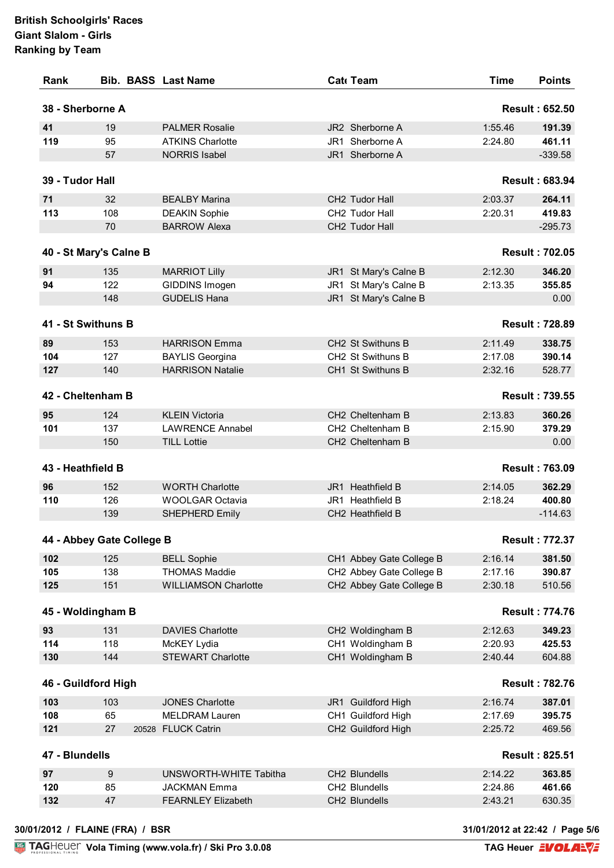| 38 - Sherborne A<br><b>Result: 652.50</b><br>JR2 Sherborne A<br>19<br><b>PALMER Rosalie</b><br>1:55.46<br>95<br><b>ATKINS Charlotte</b><br>JR1 Sherborne A<br>2:24.80<br><b>NORRIS Isabel</b><br>JR1 Sherborne A<br>57<br>39 - Tudor Hall<br>CH2 Tudor Hall<br>32<br><b>BEALBY Marina</b><br>2:03.37<br>108<br>CH2 Tudor Hall<br><b>DEAKIN Sophie</b><br>2:20.31<br>70<br><b>BARROW Alexa</b><br>CH2 Tudor Hall<br>40 - St Mary's Calne B<br>135<br><b>MARRIOT Lilly</b><br>JR1 St Mary's Calne B<br>2:12.30<br>122<br>GIDDINS Imogen<br>JR1 St Mary's Calne B<br>2:13.35<br>148<br><b>GUDELIS Hana</b><br>JR1 St Mary's Calne B<br>41 - St Swithuns B<br>CH2 St Swithuns B<br>2:11.49<br>153<br><b>HARRISON Emma</b><br>CH2 St Swithuns B<br>127<br>2:17.08<br><b>BAYLIS Georgina</b><br><b>HARRISON Natalie</b><br>140<br>CH1 St Swithuns B<br>2:32.16<br>42 - Cheltenham B<br>124<br><b>KLEIN Victoria</b><br>CH2 Cheltenham B<br>2:13.83<br>137<br><b>LAWRENCE Annabel</b><br>CH2 Cheltenham B<br>2:15.90<br>150<br><b>TILL Lottie</b><br>CH2 Cheltenham B<br>43 - Heathfield B<br><b>WORTH Charlotte</b><br>JR1 Heathfield B<br>2:14.05<br>152<br>126<br>JR1 Heathfield B<br><b>WOOLGAR Octavia</b><br>2:18.24<br>139<br>CH2 Heathfield B<br>SHEPHERD Emily<br>44 - Abbey Gate College B<br>125<br>2:16.14<br><b>BELL Sophie</b><br>CH1 Abbey Gate College B<br>138<br><b>THOMAS Maddie</b><br>CH2 Abbey Gate College B<br>2:17.16<br>151<br>CH2 Abbey Gate College B<br><b>WILLIAMSON Charlotte</b><br>2:30.18<br>45 - Woldingham B<br>131<br><b>DAVIES Charlotte</b><br>CH2 Woldingham B<br>2:12.63<br>118<br>McKEY Lydia<br>CH1 Woldingham B<br>2:20.93<br>144<br><b>STEWART Charlotte</b><br>CH1 Woldingham B<br>2:40.44<br>46 - Guildford High<br>103<br><b>JONES Charlotte</b><br>JR1 Guildford High<br>2:16.74<br>CH1 Guildford High<br>65<br><b>MELDRAM Lauren</b><br>2:17.69<br>CH2 Guildford High<br>27<br>20528 FLUCK Catrin<br>2:25.72<br>47 - Blundells<br>CH2 Blundells<br>9<br>UNSWORTH-WHITE Tabitha<br>2:14.22<br>85<br>CH2 Blundells<br>2:24.86<br><b>JACKMAN Emma</b><br>CH2 Blundells<br>47<br><b>FEARNLEY Elizabeth</b><br>2:43.21 | Rank |  | <b>Bib. BASS Last Name</b> | Cat Team | <b>Time</b> | <b>Points</b> |
|--------------------------------------------------------------------------------------------------------------------------------------------------------------------------------------------------------------------------------------------------------------------------------------------------------------------------------------------------------------------------------------------------------------------------------------------------------------------------------------------------------------------------------------------------------------------------------------------------------------------------------------------------------------------------------------------------------------------------------------------------------------------------------------------------------------------------------------------------------------------------------------------------------------------------------------------------------------------------------------------------------------------------------------------------------------------------------------------------------------------------------------------------------------------------------------------------------------------------------------------------------------------------------------------------------------------------------------------------------------------------------------------------------------------------------------------------------------------------------------------------------------------------------------------------------------------------------------------------------------------------------------------------------------------------------------------------------------------------------------------------------------------------------------------------------------------------------------------------------------------------------------------------------------------------------------------------------------------------------------------------------------------------------------------------------------------------------------------------------------------------------------------------------------|------|--|----------------------------|----------|-------------|---------------|
| 191.39<br>461.11<br>$-339.58$<br><b>Result: 683.94</b><br>264.11<br>419.83<br>$-295.73$<br><b>Result: 702.05</b><br>346.20<br>355.85<br>0.00<br><b>Result: 728.89</b><br>338.75<br>390.14<br>528.77<br><b>Result: 739.55</b><br>360.26<br>379.29<br>0.00<br><b>Result: 763.09</b><br>362.29<br>400.80<br>$-114.63$<br><b>Result: 772.37</b><br>381.50<br>390.87<br>510.56<br><b>Result: 774.76</b><br>349.23<br>425.53<br>604.88<br><b>Result: 782.76</b><br>387.01<br>395.75<br>469.56<br><b>Result: 825.51</b><br>363.85<br>461.66<br>630.35                                                                                                                                                                                                                                                                                                                                                                                                                                                                                                                                                                                                                                                                                                                                                                                                                                                                                                                                                                                                                                                                                                                                                                                                                                                                                                                                                                                                                                                                                                                                                                                                               |      |  |                            |          |             |               |
|                                                                                                                                                                                                                                                                                                                                                                                                                                                                                                                                                                                                                                                                                                                                                                                                                                                                                                                                                                                                                                                                                                                                                                                                                                                                                                                                                                                                                                                                                                                                                                                                                                                                                                                                                                                                                                                                                                                                                                                                                                                                                                                                                              | 41   |  |                            |          |             |               |
|                                                                                                                                                                                                                                                                                                                                                                                                                                                                                                                                                                                                                                                                                                                                                                                                                                                                                                                                                                                                                                                                                                                                                                                                                                                                                                                                                                                                                                                                                                                                                                                                                                                                                                                                                                                                                                                                                                                                                                                                                                                                                                                                                              | 119  |  |                            |          |             |               |
|                                                                                                                                                                                                                                                                                                                                                                                                                                                                                                                                                                                                                                                                                                                                                                                                                                                                                                                                                                                                                                                                                                                                                                                                                                                                                                                                                                                                                                                                                                                                                                                                                                                                                                                                                                                                                                                                                                                                                                                                                                                                                                                                                              |      |  |                            |          |             |               |
|                                                                                                                                                                                                                                                                                                                                                                                                                                                                                                                                                                                                                                                                                                                                                                                                                                                                                                                                                                                                                                                                                                                                                                                                                                                                                                                                                                                                                                                                                                                                                                                                                                                                                                                                                                                                                                                                                                                                                                                                                                                                                                                                                              |      |  |                            |          |             |               |
|                                                                                                                                                                                                                                                                                                                                                                                                                                                                                                                                                                                                                                                                                                                                                                                                                                                                                                                                                                                                                                                                                                                                                                                                                                                                                                                                                                                                                                                                                                                                                                                                                                                                                                                                                                                                                                                                                                                                                                                                                                                                                                                                                              | 71   |  |                            |          |             |               |
|                                                                                                                                                                                                                                                                                                                                                                                                                                                                                                                                                                                                                                                                                                                                                                                                                                                                                                                                                                                                                                                                                                                                                                                                                                                                                                                                                                                                                                                                                                                                                                                                                                                                                                                                                                                                                                                                                                                                                                                                                                                                                                                                                              | 113  |  |                            |          |             |               |
|                                                                                                                                                                                                                                                                                                                                                                                                                                                                                                                                                                                                                                                                                                                                                                                                                                                                                                                                                                                                                                                                                                                                                                                                                                                                                                                                                                                                                                                                                                                                                                                                                                                                                                                                                                                                                                                                                                                                                                                                                                                                                                                                                              |      |  |                            |          |             |               |
|                                                                                                                                                                                                                                                                                                                                                                                                                                                                                                                                                                                                                                                                                                                                                                                                                                                                                                                                                                                                                                                                                                                                                                                                                                                                                                                                                                                                                                                                                                                                                                                                                                                                                                                                                                                                                                                                                                                                                                                                                                                                                                                                                              |      |  |                            |          |             |               |
|                                                                                                                                                                                                                                                                                                                                                                                                                                                                                                                                                                                                                                                                                                                                                                                                                                                                                                                                                                                                                                                                                                                                                                                                                                                                                                                                                                                                                                                                                                                                                                                                                                                                                                                                                                                                                                                                                                                                                                                                                                                                                                                                                              | 91   |  |                            |          |             |               |
|                                                                                                                                                                                                                                                                                                                                                                                                                                                                                                                                                                                                                                                                                                                                                                                                                                                                                                                                                                                                                                                                                                                                                                                                                                                                                                                                                                                                                                                                                                                                                                                                                                                                                                                                                                                                                                                                                                                                                                                                                                                                                                                                                              | 94   |  |                            |          |             |               |
|                                                                                                                                                                                                                                                                                                                                                                                                                                                                                                                                                                                                                                                                                                                                                                                                                                                                                                                                                                                                                                                                                                                                                                                                                                                                                                                                                                                                                                                                                                                                                                                                                                                                                                                                                                                                                                                                                                                                                                                                                                                                                                                                                              |      |  |                            |          |             |               |
|                                                                                                                                                                                                                                                                                                                                                                                                                                                                                                                                                                                                                                                                                                                                                                                                                                                                                                                                                                                                                                                                                                                                                                                                                                                                                                                                                                                                                                                                                                                                                                                                                                                                                                                                                                                                                                                                                                                                                                                                                                                                                                                                                              |      |  |                            |          |             |               |
|                                                                                                                                                                                                                                                                                                                                                                                                                                                                                                                                                                                                                                                                                                                                                                                                                                                                                                                                                                                                                                                                                                                                                                                                                                                                                                                                                                                                                                                                                                                                                                                                                                                                                                                                                                                                                                                                                                                                                                                                                                                                                                                                                              | 89   |  |                            |          |             |               |
|                                                                                                                                                                                                                                                                                                                                                                                                                                                                                                                                                                                                                                                                                                                                                                                                                                                                                                                                                                                                                                                                                                                                                                                                                                                                                                                                                                                                                                                                                                                                                                                                                                                                                                                                                                                                                                                                                                                                                                                                                                                                                                                                                              | 104  |  |                            |          |             |               |
|                                                                                                                                                                                                                                                                                                                                                                                                                                                                                                                                                                                                                                                                                                                                                                                                                                                                                                                                                                                                                                                                                                                                                                                                                                                                                                                                                                                                                                                                                                                                                                                                                                                                                                                                                                                                                                                                                                                                                                                                                                                                                                                                                              | 127  |  |                            |          |             |               |
|                                                                                                                                                                                                                                                                                                                                                                                                                                                                                                                                                                                                                                                                                                                                                                                                                                                                                                                                                                                                                                                                                                                                                                                                                                                                                                                                                                                                                                                                                                                                                                                                                                                                                                                                                                                                                                                                                                                                                                                                                                                                                                                                                              |      |  |                            |          |             |               |
|                                                                                                                                                                                                                                                                                                                                                                                                                                                                                                                                                                                                                                                                                                                                                                                                                                                                                                                                                                                                                                                                                                                                                                                                                                                                                                                                                                                                                                                                                                                                                                                                                                                                                                                                                                                                                                                                                                                                                                                                                                                                                                                                                              | 95   |  |                            |          |             |               |
|                                                                                                                                                                                                                                                                                                                                                                                                                                                                                                                                                                                                                                                                                                                                                                                                                                                                                                                                                                                                                                                                                                                                                                                                                                                                                                                                                                                                                                                                                                                                                                                                                                                                                                                                                                                                                                                                                                                                                                                                                                                                                                                                                              | 101  |  |                            |          |             |               |
|                                                                                                                                                                                                                                                                                                                                                                                                                                                                                                                                                                                                                                                                                                                                                                                                                                                                                                                                                                                                                                                                                                                                                                                                                                                                                                                                                                                                                                                                                                                                                                                                                                                                                                                                                                                                                                                                                                                                                                                                                                                                                                                                                              |      |  |                            |          |             |               |
|                                                                                                                                                                                                                                                                                                                                                                                                                                                                                                                                                                                                                                                                                                                                                                                                                                                                                                                                                                                                                                                                                                                                                                                                                                                                                                                                                                                                                                                                                                                                                                                                                                                                                                                                                                                                                                                                                                                                                                                                                                                                                                                                                              |      |  |                            |          |             |               |
|                                                                                                                                                                                                                                                                                                                                                                                                                                                                                                                                                                                                                                                                                                                                                                                                                                                                                                                                                                                                                                                                                                                                                                                                                                                                                                                                                                                                                                                                                                                                                                                                                                                                                                                                                                                                                                                                                                                                                                                                                                                                                                                                                              | 96   |  |                            |          |             |               |
|                                                                                                                                                                                                                                                                                                                                                                                                                                                                                                                                                                                                                                                                                                                                                                                                                                                                                                                                                                                                                                                                                                                                                                                                                                                                                                                                                                                                                                                                                                                                                                                                                                                                                                                                                                                                                                                                                                                                                                                                                                                                                                                                                              | 110  |  |                            |          |             |               |
|                                                                                                                                                                                                                                                                                                                                                                                                                                                                                                                                                                                                                                                                                                                                                                                                                                                                                                                                                                                                                                                                                                                                                                                                                                                                                                                                                                                                                                                                                                                                                                                                                                                                                                                                                                                                                                                                                                                                                                                                                                                                                                                                                              |      |  |                            |          |             |               |
|                                                                                                                                                                                                                                                                                                                                                                                                                                                                                                                                                                                                                                                                                                                                                                                                                                                                                                                                                                                                                                                                                                                                                                                                                                                                                                                                                                                                                                                                                                                                                                                                                                                                                                                                                                                                                                                                                                                                                                                                                                                                                                                                                              |      |  |                            |          |             |               |
|                                                                                                                                                                                                                                                                                                                                                                                                                                                                                                                                                                                                                                                                                                                                                                                                                                                                                                                                                                                                                                                                                                                                                                                                                                                                                                                                                                                                                                                                                                                                                                                                                                                                                                                                                                                                                                                                                                                                                                                                                                                                                                                                                              |      |  |                            |          |             |               |
|                                                                                                                                                                                                                                                                                                                                                                                                                                                                                                                                                                                                                                                                                                                                                                                                                                                                                                                                                                                                                                                                                                                                                                                                                                                                                                                                                                                                                                                                                                                                                                                                                                                                                                                                                                                                                                                                                                                                                                                                                                                                                                                                                              | 102  |  |                            |          |             |               |
|                                                                                                                                                                                                                                                                                                                                                                                                                                                                                                                                                                                                                                                                                                                                                                                                                                                                                                                                                                                                                                                                                                                                                                                                                                                                                                                                                                                                                                                                                                                                                                                                                                                                                                                                                                                                                                                                                                                                                                                                                                                                                                                                                              | 105  |  |                            |          |             |               |
|                                                                                                                                                                                                                                                                                                                                                                                                                                                                                                                                                                                                                                                                                                                                                                                                                                                                                                                                                                                                                                                                                                                                                                                                                                                                                                                                                                                                                                                                                                                                                                                                                                                                                                                                                                                                                                                                                                                                                                                                                                                                                                                                                              | 125  |  |                            |          |             |               |
|                                                                                                                                                                                                                                                                                                                                                                                                                                                                                                                                                                                                                                                                                                                                                                                                                                                                                                                                                                                                                                                                                                                                                                                                                                                                                                                                                                                                                                                                                                                                                                                                                                                                                                                                                                                                                                                                                                                                                                                                                                                                                                                                                              |      |  |                            |          |             |               |
|                                                                                                                                                                                                                                                                                                                                                                                                                                                                                                                                                                                                                                                                                                                                                                                                                                                                                                                                                                                                                                                                                                                                                                                                                                                                                                                                                                                                                                                                                                                                                                                                                                                                                                                                                                                                                                                                                                                                                                                                                                                                                                                                                              | 93   |  |                            |          |             |               |
|                                                                                                                                                                                                                                                                                                                                                                                                                                                                                                                                                                                                                                                                                                                                                                                                                                                                                                                                                                                                                                                                                                                                                                                                                                                                                                                                                                                                                                                                                                                                                                                                                                                                                                                                                                                                                                                                                                                                                                                                                                                                                                                                                              | 114  |  |                            |          |             |               |
|                                                                                                                                                                                                                                                                                                                                                                                                                                                                                                                                                                                                                                                                                                                                                                                                                                                                                                                                                                                                                                                                                                                                                                                                                                                                                                                                                                                                                                                                                                                                                                                                                                                                                                                                                                                                                                                                                                                                                                                                                                                                                                                                                              | 130  |  |                            |          |             |               |
|                                                                                                                                                                                                                                                                                                                                                                                                                                                                                                                                                                                                                                                                                                                                                                                                                                                                                                                                                                                                                                                                                                                                                                                                                                                                                                                                                                                                                                                                                                                                                                                                                                                                                                                                                                                                                                                                                                                                                                                                                                                                                                                                                              |      |  |                            |          |             |               |
|                                                                                                                                                                                                                                                                                                                                                                                                                                                                                                                                                                                                                                                                                                                                                                                                                                                                                                                                                                                                                                                                                                                                                                                                                                                                                                                                                                                                                                                                                                                                                                                                                                                                                                                                                                                                                                                                                                                                                                                                                                                                                                                                                              | 103  |  |                            |          |             |               |
|                                                                                                                                                                                                                                                                                                                                                                                                                                                                                                                                                                                                                                                                                                                                                                                                                                                                                                                                                                                                                                                                                                                                                                                                                                                                                                                                                                                                                                                                                                                                                                                                                                                                                                                                                                                                                                                                                                                                                                                                                                                                                                                                                              | 108  |  |                            |          |             |               |
|                                                                                                                                                                                                                                                                                                                                                                                                                                                                                                                                                                                                                                                                                                                                                                                                                                                                                                                                                                                                                                                                                                                                                                                                                                                                                                                                                                                                                                                                                                                                                                                                                                                                                                                                                                                                                                                                                                                                                                                                                                                                                                                                                              | 121  |  |                            |          |             |               |
|                                                                                                                                                                                                                                                                                                                                                                                                                                                                                                                                                                                                                                                                                                                                                                                                                                                                                                                                                                                                                                                                                                                                                                                                                                                                                                                                                                                                                                                                                                                                                                                                                                                                                                                                                                                                                                                                                                                                                                                                                                                                                                                                                              |      |  |                            |          |             |               |
|                                                                                                                                                                                                                                                                                                                                                                                                                                                                                                                                                                                                                                                                                                                                                                                                                                                                                                                                                                                                                                                                                                                                                                                                                                                                                                                                                                                                                                                                                                                                                                                                                                                                                                                                                                                                                                                                                                                                                                                                                                                                                                                                                              | 97   |  |                            |          |             |               |
|                                                                                                                                                                                                                                                                                                                                                                                                                                                                                                                                                                                                                                                                                                                                                                                                                                                                                                                                                                                                                                                                                                                                                                                                                                                                                                                                                                                                                                                                                                                                                                                                                                                                                                                                                                                                                                                                                                                                                                                                                                                                                                                                                              | 120  |  |                            |          |             |               |
|                                                                                                                                                                                                                                                                                                                                                                                                                                                                                                                                                                                                                                                                                                                                                                                                                                                                                                                                                                                                                                                                                                                                                                                                                                                                                                                                                                                                                                                                                                                                                                                                                                                                                                                                                                                                                                                                                                                                                                                                                                                                                                                                                              | 132  |  |                            |          |             |               |
|                                                                                                                                                                                                                                                                                                                                                                                                                                                                                                                                                                                                                                                                                                                                                                                                                                                                                                                                                                                                                                                                                                                                                                                                                                                                                                                                                                                                                                                                                                                                                                                                                                                                                                                                                                                                                                                                                                                                                                                                                                                                                                                                                              |      |  |                            |          |             |               |
| 30/01/2012 / FLAINE (FRA) / BSR<br>31/01/2012 at 22:42 / Page 5                                                                                                                                                                                                                                                                                                                                                                                                                                                                                                                                                                                                                                                                                                                                                                                                                                                                                                                                                                                                                                                                                                                                                                                                                                                                                                                                                                                                                                                                                                                                                                                                                                                                                                                                                                                                                                                                                                                                                                                                                                                                                              |      |  |                            |          |             |               |